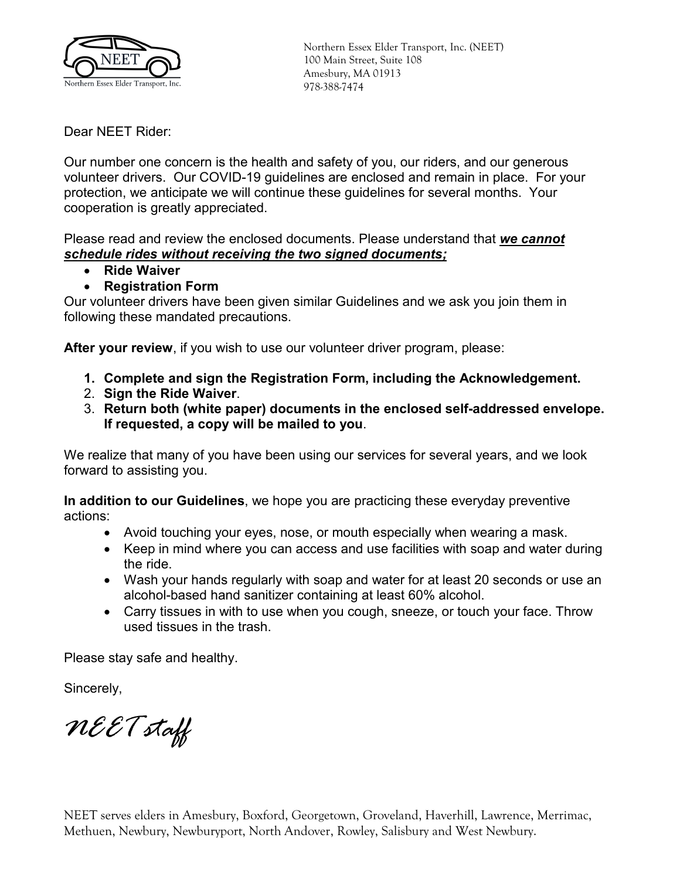

Northern Essex Elder Transport, Inc. (NEET) 100 Main Street, Suite 108 Amesbury, MA 01913 978-388-7474

Dear NEET Rider:

Our number one concern is the health and safety of you, our riders, and our generous volunteer drivers. Our COVID-19 guidelines are enclosed and remain in place. For your protection, we anticipate we will continue these guidelines for several months. Your cooperation is greatly appreciated.

Please read and review the enclosed documents. Please understand that *we cannot schedule rides without receiving the two signed documents;*

- **Ride Waiver**
- **Registration Form**

Our volunteer drivers have been given similar Guidelines and we ask you join them in following these mandated precautions.

**After your review**, if you wish to use our volunteer driver program, please:

- **1. Complete and sign the Registration Form, including the Acknowledgement.**
- 2. **Sign the Ride Waiver**.
- 3. **Return both (white paper) documents in the enclosed self-addressed envelope. If requested, a copy will be mailed to you**.

We realize that many of you have been using our services for several years, and we look forward to assisting you.

**In addition to our Guidelines**, we hope you are practicing these everyday preventive actions:

- Avoid touching your eyes, nose, or mouth especially when wearing a mask.
- Keep in mind where you can access and use facilities with soap and water during the ride.
- Wash your hands regularly with soap and water for at least 20 seconds or use an alcohol-based hand sanitizer containing at least 60% alcohol.
- Carry tissues in with to use when you cough, sneeze, or touch your face. Throw used tissues in the trash.

Please stay safe and healthy.

Sincerely,

*NEET staff*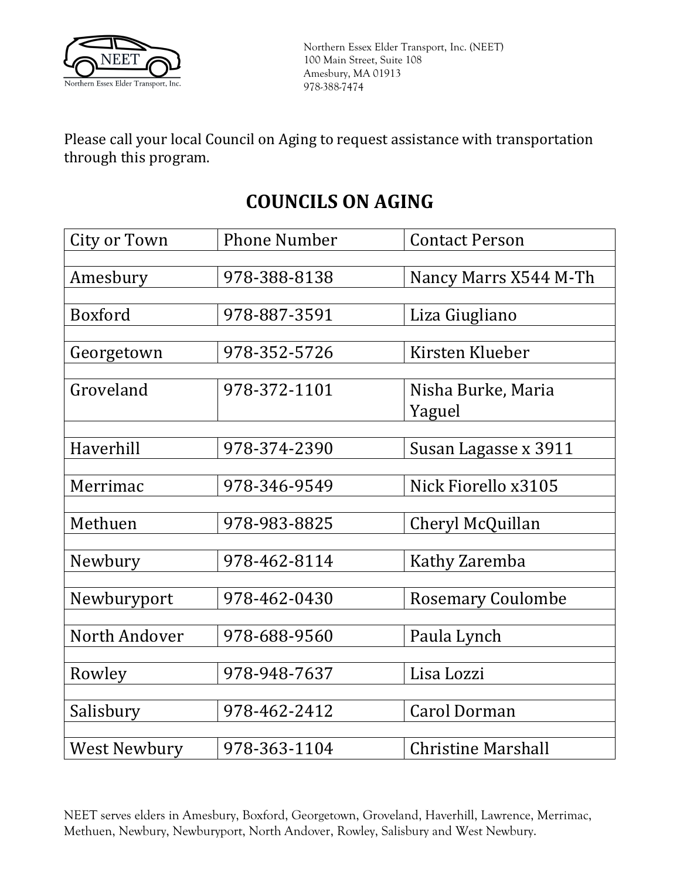

Please call your local Council on Aging to request assistance with transportation through this program.

# **COUNCILS ON AGING**

| City or Town        | <b>Phone Number</b> | <b>Contact Person</b>     |
|---------------------|---------------------|---------------------------|
|                     |                     |                           |
| Amesbury            | 978-388-8138        | Nancy Marrs X544 M-Th     |
|                     |                     |                           |
| <b>Boxford</b>      | 978-887-3591        | Liza Giugliano            |
|                     |                     |                           |
| Georgetown          | 978-352-5726        | Kirsten Klueber           |
|                     |                     |                           |
| Groveland           | 978-372-1101        | Nisha Burke, Maria        |
|                     |                     | Yaguel                    |
|                     |                     |                           |
| Haverhill           | 978-374-2390        | Susan Lagasse x 3911      |
|                     |                     |                           |
| Merrimac            | 978-346-9549        | Nick Fiorello x3105       |
|                     |                     |                           |
| Methuen             | 978-983-8825        | Cheryl McQuillan          |
|                     |                     |                           |
| Newbury             | 978-462-8114        | Kathy Zaremba             |
|                     |                     |                           |
| Newburyport         | 978-462-0430        | <b>Rosemary Coulombe</b>  |
|                     |                     |                           |
| North Andover       | 978-688-9560        | Paula Lynch               |
|                     |                     |                           |
| Rowley              | 978-948-7637        | Lisa Lozzi                |
|                     |                     |                           |
| Salisbury           | 978-462-2412        | <b>Carol Dorman</b>       |
|                     |                     |                           |
| <b>West Newbury</b> | 978-363-1104        | <b>Christine Marshall</b> |

NEET serves elders in Amesbury, Boxford, Georgetown, Groveland, Haverhill, Lawrence, Merrimac, Methuen, Newbury, Newburyport, North Andover, Rowley, Salisbury and West Newbury.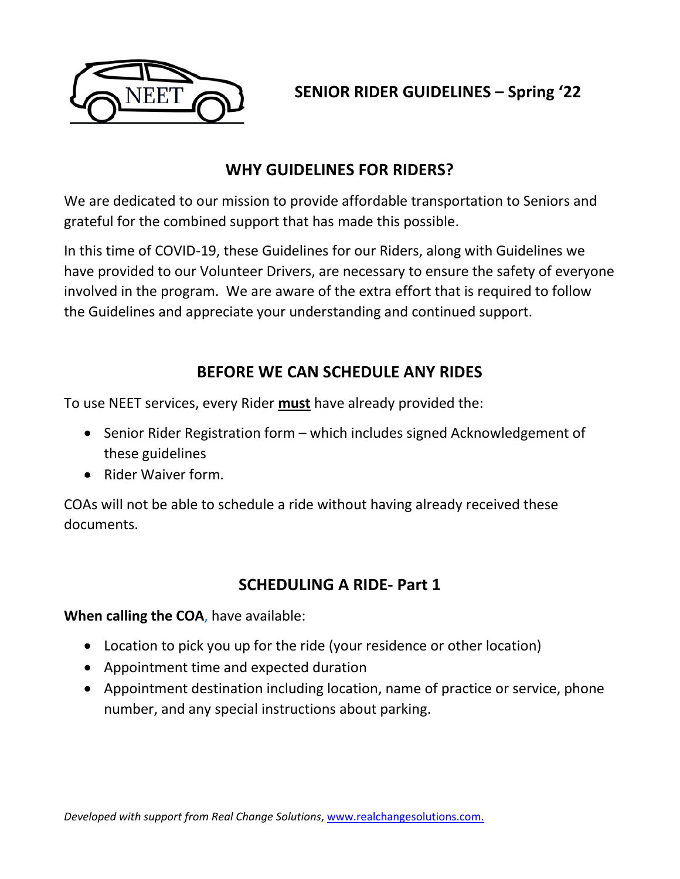

**SENIOR RIDER GUIDELINES – Spring '22**

# **WHY GUIDELINES FOR RIDERS?**

We are dedicated to our mission to provide affordable transportation to Seniors and grateful for the combined support that has made this possible.

In this time of COVID-19, these Guidelines for our Riders, along with Guidelines we have provided to our Volunteer Drivers, are necessary to ensure the safety of everyone involved in the program. We are aware of the extra effort that is required to follow the Guidelines and appreciate your understanding and continued support.

## **BEFORE WE CAN SCHEDULE ANY RIDES**

To use NEET services, every Rider **must** have already provided the:

- Senior Rider Registration form which includes signed Acknowledgement of these guidelines
- Rider Waiver form.

COAs will not be able to schedule a ride without having already received these documents.

# **SCHEDULING A RIDE- Part 1**

**When calling the COA**, have available:

- Location to pick you up for the ride (your residence or other location)
- Appointment time and expected duration
- Appointment destination including location, name of practice or service, phone number, and any special instructions about parking.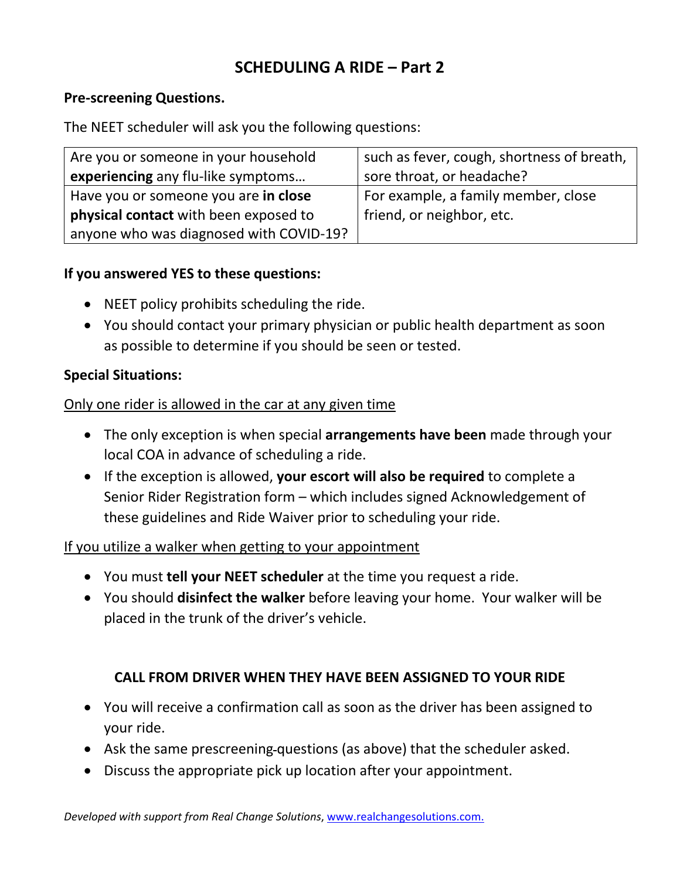# **SCHEDULING A RIDE – Part 2**

#### **Pre-screening Questions.**

The NEET scheduler will ask you the following questions:

| Are you or someone in your household    | such as fever, cough, shortness of breath, |
|-----------------------------------------|--------------------------------------------|
| experiencing any flu-like symptoms      | sore throat, or headache?                  |
| Have you or someone you are in close    | For example, a family member, close        |
| physical contact with been exposed to   | friend, or neighbor, etc.                  |
| anyone who was diagnosed with COVID-19? |                                            |

#### **If you answered YES to these questions:**

- NEET policy prohibits scheduling the ride.
- You should contact your primary physician or public health department as soon as possible to determine if you should be seen or tested.

#### **Special Situations:**

#### Only one rider is allowed in the car at any given time

- The only exception is when special **arrangements have been** made through your local COA in advance of scheduling a ride.
- If the exception is allowed, **your escort will also be required** to complete a Senior Rider Registration form – which includes signed Acknowledgement of these guidelines and Ride Waiver prior to scheduling your ride.

#### If you utilize a walker when getting to your appointment

- You must **tell your NEET scheduler** at the time you request a ride.
- You should **disinfect the walker** before leaving your home. Your walker will be placed in the trunk of the driver's vehicle.

### **CALL FROM DRIVER WHEN THEY HAVE BEEN ASSIGNED TO YOUR RIDE**

- You will receive a confirmation call as soon as the driver has been assigned to your ride.
- Ask the same prescreening-questions (as above) that the scheduler asked.
- Discuss the appropriate pick up location after your appointment.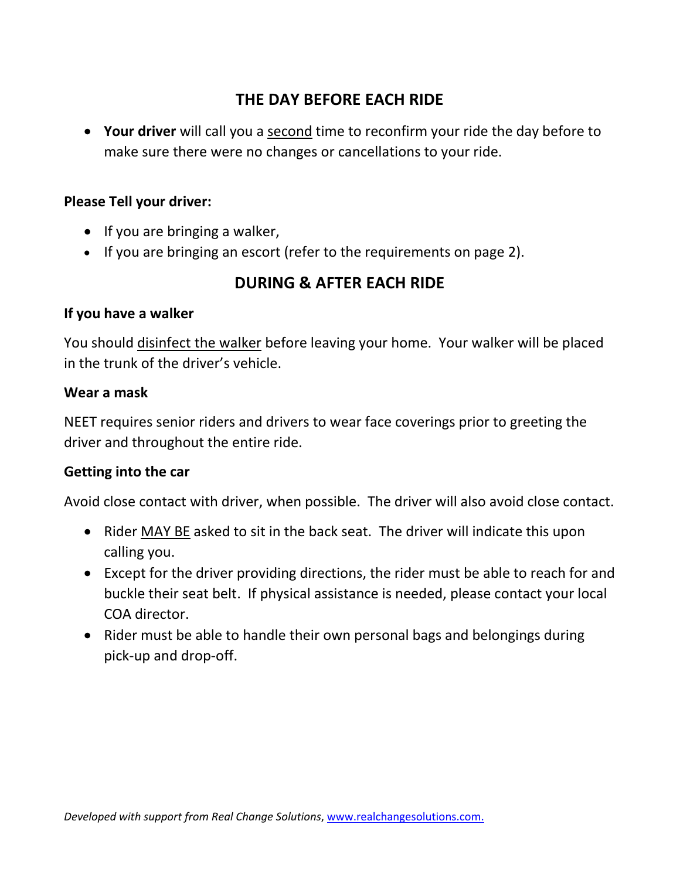# **THE DAY BEFORE EACH RIDE**

• **Your driver** will call you a second time to reconfirm your ride the day before to make sure there were no changes or cancellations to your ride.

### **Please Tell your driver:**

- If you are bringing a walker,
- If you are bringing an escort (refer to the requirements on page 2).

# **DURING & AFTER EACH RIDE**

#### **If you have a walker**

You should disinfect the walker before leaving your home. Your walker will be placed in the trunk of the driver's vehicle.

#### **Wear a mask**

NEET requires senior riders and drivers to wear face coverings prior to greeting the driver and throughout the entire ride.

#### **Getting into the car**

Avoid close contact with driver, when possible. The driver will also avoid close contact.

- Rider MAY BE asked to sit in the back seat. The driver will indicate this upon calling you.
- Except for the driver providing directions, the rider must be able to reach for and buckle their seat belt. If physical assistance is needed, please contact your local COA director.
- Rider must be able to handle their own personal bags and belongings during pick-up and drop-off.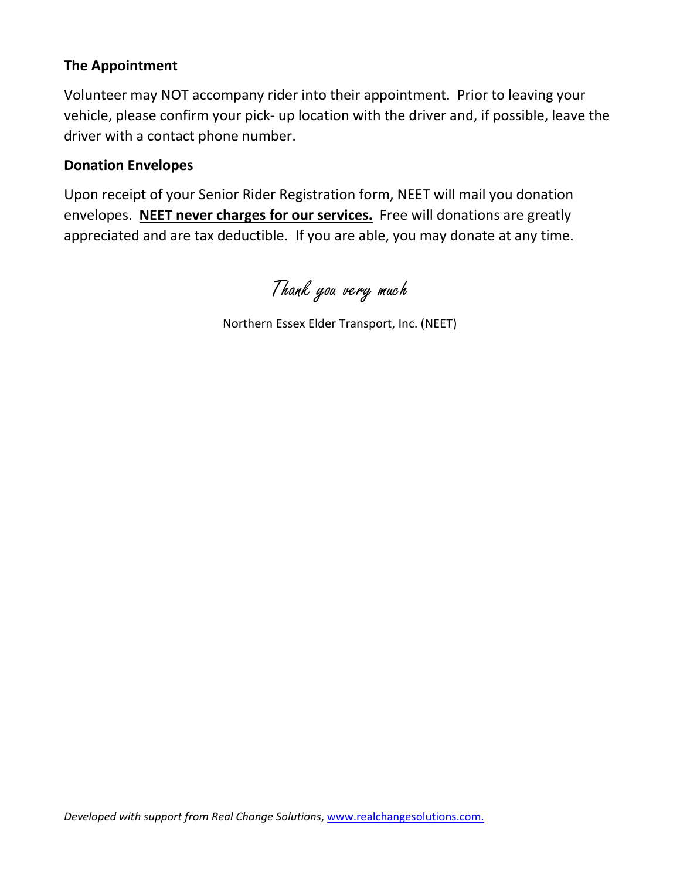#### **The Appointment**

Volunteer may NOT accompany rider into their appointment. Prior to leaving your vehicle, please confirm your pick- up location with the driver and, if possible, leave the driver with a contact phone number.

#### **Donation Envelopes**

Upon receipt of your Senior Rider Registration form, NEET will mail you donation envelopes. **NEET never charges for our services.** Free will donations are greatly appreciated and are tax deductible. If you are able, you may donate at any time.

Thank you very much

Northern Essex Elder Transport, Inc. (NEET)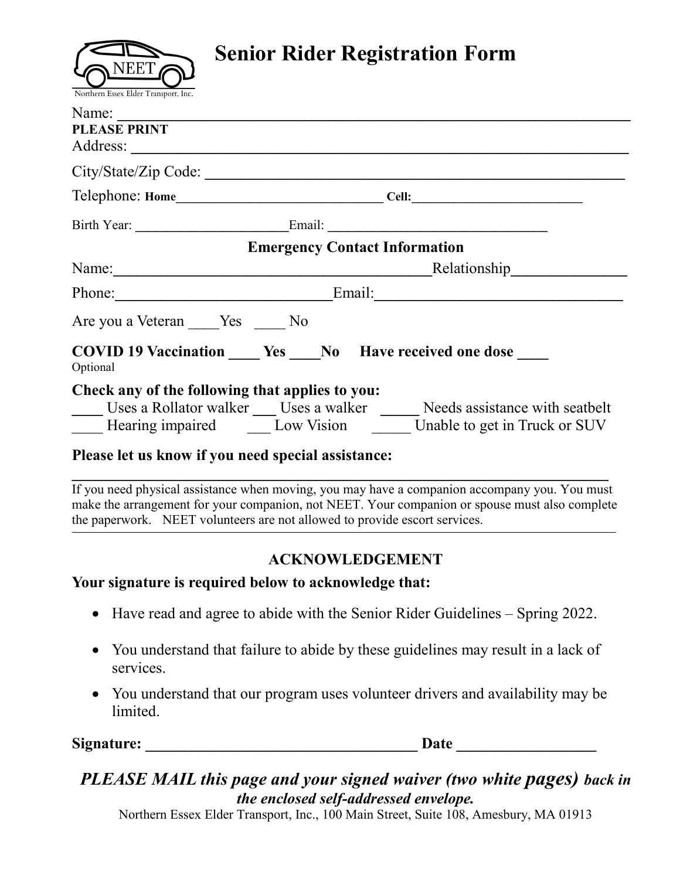

# **Senior Rider Registration Form**

| Name:<br><b>PLEASE PRINT</b>                    |                                                                                                                                  |  |
|-------------------------------------------------|----------------------------------------------------------------------------------------------------------------------------------|--|
|                                                 | City/State/Zip Code:                                                                                                             |  |
|                                                 |                                                                                                                                  |  |
|                                                 |                                                                                                                                  |  |
|                                                 | <b>Emergency Contact Information</b>                                                                                             |  |
|                                                 | Relationship                                                                                                                     |  |
| Phone:                                          |                                                                                                                                  |  |
| Are you a Veteran Yes No                        |                                                                                                                                  |  |
| Optional                                        | <b>COVID 19 Vaccination</b> Ves No Have received one dose                                                                        |  |
| Check any of the following that applies to you: | Uses a Rollator walker Uses a walker Needs assistance with seatbelt<br>Hearing impaired Low Vision Unable to get in Truck or SUV |  |

#### **Please let us know if you need special assistance:**

**\_\_\_\_\_\_\_\_\_\_\_\_\_\_\_\_\_\_\_\_\_\_\_\_\_\_\_\_\_\_\_\_\_\_\_\_\_\_\_\_\_\_\_\_\_\_\_\_\_\_\_\_\_\_\_\_\_\_\_\_\_\_\_\_\_\_\_\_\_** If you need physical assistance when moving, you may have a companion accompany you. You must make the arrangement for your companion, not NEET. Your companion or spouse must also complete the paperwork. NEET volunteers are not allowed to provide escort services.

,我们也不会有什么?""我们的人,我们也不会有什么?""我们的人,我们也不会有什么?""我们的人,我们也不会有什么?""我们的人,我们也不会有什么?""我们的人

### **ACKNOWLEDGEMENT**

#### **Your signature is required below to acknowledge that:**

- Have read and agree to abide with the Senior Rider Guidelines Spring 2022.
- You understand that failure to abide by these guidelines may result in a lack of services.
- You understand that our program uses volunteer drivers and availability may be limited.

Signature: the contraction of the contraction of the contraction of the contraction of the contraction of the contraction of the contraction of the contraction of the contraction of the contraction of the contraction of th

# *PLEASE MAIL this page and your signed waiver (two white pages) back in the enclosed self-addressed envelope.*

Northern Essex Elder Transport, Inc., 100 Main Street, Suite 108, Amesbury, MA 01913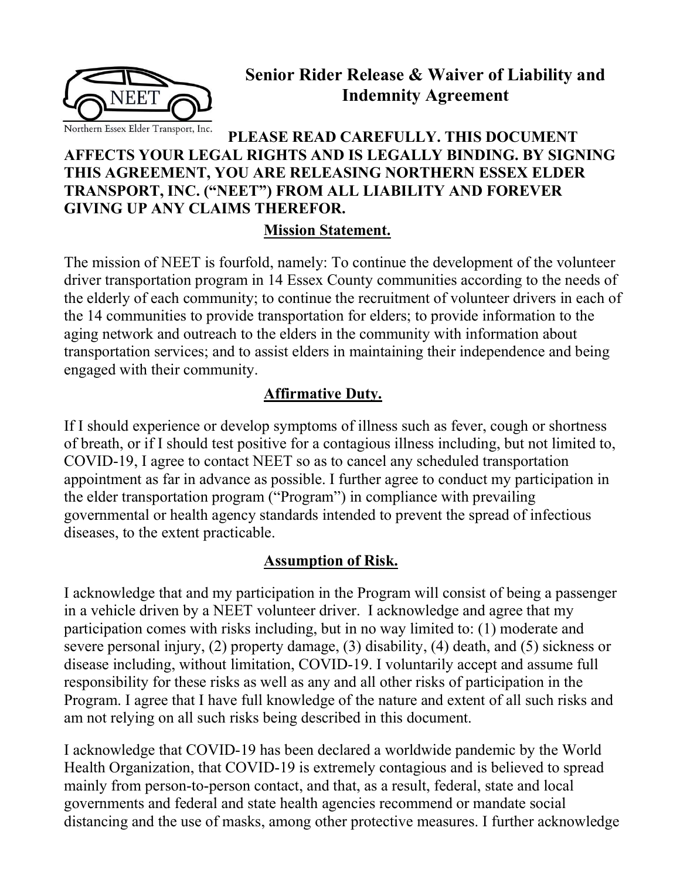

# Senior Rider Release & Waiver of Liability and Indemnity Agreement

### PLEASE READ CAREFULLY. THIS DOCUMENT AFFECTS YOUR LEGAL RIGHTS AND IS LEGALLY BINDING. BY SIGNING THIS AGREEMENT, YOU ARE RELEASING NORTHERN ESSEX ELDER TRANSPORT, INC. ("NEET") FROM ALL LIABILITY AND FOREVER GIVING UP ANY CLAIMS THEREFOR.

### Mission Statement.

The mission of NEET is fourfold, namely: To continue the development of the volunteer driver transportation program in 14 Essex County communities according to the needs of the elderly of each community; to continue the recruitment of volunteer drivers in each of the 14 communities to provide transportation for elders; to provide information to the aging network and outreach to the elders in the community with information about transportation services; and to assist elders in maintaining their independence and being engaged with their community.

### Affirmative Duty.

If I should experience or develop symptoms of illness such as fever, cough or shortness of breath, or if I should test positive for a contagious illness including, but not limited to, COVID-19, I agree to contact NEET so as to cancel any scheduled transportation appointment as far in advance as possible. I further agree to conduct my participation in the elder transportation program ("Program") in compliance with prevailing governmental or health agency standards intended to prevent the spread of infectious diseases, to the extent practicable.

### Assumption of Risk.

I acknowledge that and my participation in the Program will consist of being a passenger in a vehicle driven by a NEET volunteer driver. I acknowledge and agree that my participation comes with risks including, but in no way limited to: (1) moderate and severe personal injury, (2) property damage, (3) disability, (4) death, and (5) sickness or disease including, without limitation, COVID-19. I voluntarily accept and assume full responsibility for these risks as well as any and all other risks of participation in the Program. I agree that I have full knowledge of the nature and extent of all such risks and am not relying on all such risks being described in this document.

I acknowledge that COVID-19 has been declared a worldwide pandemic by the World Health Organization, that COVID-19 is extremely contagious and is believed to spread mainly from person-to-person contact, and that, as a result, federal, state and local governments and federal and state health agencies recommend or mandate social distancing and the use of masks, among other protective measures. I further acknowledge